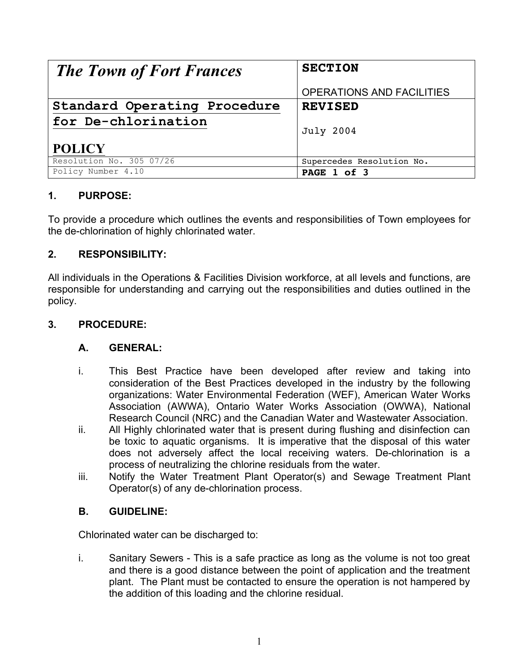| <b>The Town of Fort Frances</b> | <b>SECTION</b>            |
|---------------------------------|---------------------------|
|                                 |                           |
|                                 | OPERATIONS AND FACILITIES |
| Standard Operating Procedure    | <b>REVISED</b>            |
| for De-chlorination             |                           |
|                                 | <b>July 2004</b>          |
|                                 |                           |
| <b>POLICY</b>                   |                           |
| Resolution No. 305 07/26        | Supercedes Resolution No. |
| Policy Number 4.10              | PAGE 1 of 3               |

# **1. PURPOSE:**

To provide a procedure which outlines the events and responsibilities of Town employees for the de-chlorination of highly chlorinated water.

## **2. RESPONSIBILITY:**

All individuals in the Operations & Facilities Division workforce, at all levels and functions, are responsible for understanding and carrying out the responsibilities and duties outlined in the policy.

### **3. PROCEDURE:**

### **A. GENERAL:**

- i. This Best Practice have been developed after review and taking into consideration of the Best Practices developed in the industry by the following organizations: Water Environmental Federation (WEF), American Water Works Association (AWWA), Ontario Water Works Association (OWWA), National Research Council (NRC) and the Canadian Water and Wastewater Association.
- ii. All Highly chlorinated water that is present during flushing and disinfection can be toxic to aquatic organisms. It is imperative that the disposal of this water does not adversely affect the local receiving waters. De-chlorination is a process of neutralizing the chlorine residuals from the water.
- iii. Notify the Water Treatment Plant Operator(s) and Sewage Treatment Plant Operator(s) of any de-chlorination process.

### **B. GUIDELINE:**

Chlorinated water can be discharged to:

i. Sanitary Sewers - This is a safe practice as long as the volume is not too great and there is a good distance between the point of application and the treatment plant. The Plant must be contacted to ensure the operation is not hampered by the addition of this loading and the chlorine residual.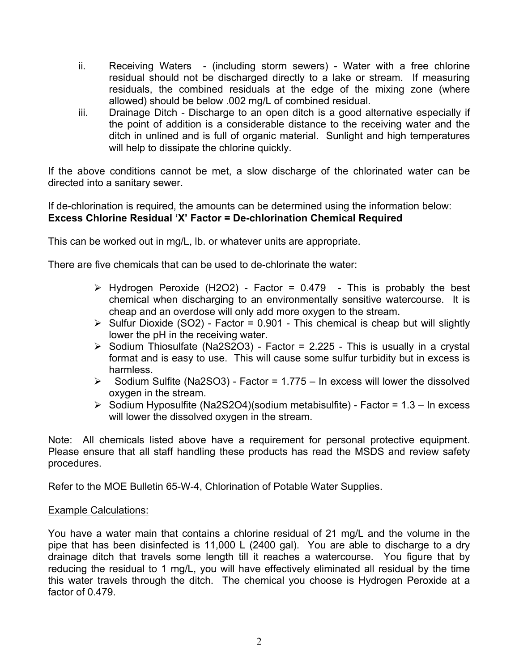- ii. Receiving Waters (including storm sewers) Water with a free chlorine residual should not be discharged directly to a lake or stream. If measuring residuals, the combined residuals at the edge of the mixing zone (where allowed) should be below .002 mg/L of combined residual.
- iii. Drainage Ditch Discharge to an open ditch is a good alternative especially if the point of addition is a considerable distance to the receiving water and the ditch in unlined and is full of organic material. Sunlight and high temperatures will help to dissipate the chlorine quickly.

If the above conditions cannot be met, a slow discharge of the chlorinated water can be directed into a sanitary sewer.

If de-chlorination is required, the amounts can be determined using the information below: **Excess Chlorine Residual 'X' Factor = De-chlorination Chemical Required**

This can be worked out in mg/L, lb. or whatever units are appropriate.

There are five chemicals that can be used to de-chlorinate the water:

- $\triangleright$  Hydrogen Peroxide (H2O2) Factor = 0.479 This is probably the best chemical when discharging to an environmentally sensitive watercourse. It is cheap and an overdose will only add more oxygen to the stream.
- $\triangleright$  Sulfur Dioxide (SO2) Factor = 0.901 This chemical is cheap but will slightly lower the pH in the receiving water.
- $\triangleright$  Sodium Thiosulfate (Na2S2O3) Factor = 2.225 This is usually in a crystal format and is easy to use. This will cause some sulfur turbidity but in excess is harmless.
- $\triangleright$  Sodium Sulfite (Na2SO3) Factor = 1.775 In excess will lower the dissolved oxygen in the stream.
- $\triangleright$  Sodium Hyposulfite (Na2S2O4)(sodium metabisulfite) Factor = 1.3 In excess will lower the dissolved oxygen in the stream.

Note: All chemicals listed above have a requirement for personal protective equipment. Please ensure that all staff handling these products has read the MSDS and review safety procedures.

Refer to the MOE Bulletin 65-W-4, Chlorination of Potable Water Supplies.

#### Example Calculations:

You have a water main that contains a chlorine residual of 21 mg/L and the volume in the pipe that has been disinfected is 11,000 L (2400 gal). You are able to discharge to a dry drainage ditch that travels some length till it reaches a watercourse. You figure that by reducing the residual to 1 mg/L, you will have effectively eliminated all residual by the time this water travels through the ditch. The chemical you choose is Hydrogen Peroxide at a factor of 0.479.